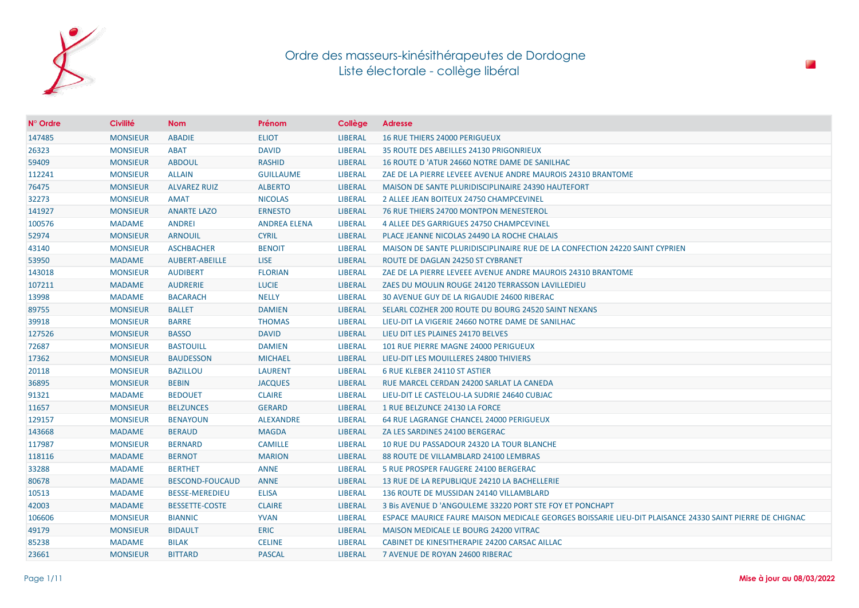

| $N^{\circ}$ Ordre | <b>Civilité</b> | <b>Nom</b>             | Prénom              | Collège        | <b>Adresse</b>                                                                                          |
|-------------------|-----------------|------------------------|---------------------|----------------|---------------------------------------------------------------------------------------------------------|
| 147485            | <b>MONSIEUR</b> | <b>ABADIE</b>          | <b>ELIOT</b>        | <b>LIBERAL</b> | <b>16 RUE THIERS 24000 PERIGUEUX</b>                                                                    |
| 26323             | <b>MONSIEUR</b> | <b>ABAT</b>            | <b>DAVID</b>        | LIBERAL        | <b>35 ROUTE DES ABEILLES 24130 PRIGONRIEUX</b>                                                          |
| 59409             | <b>MONSIEUR</b> | <b>ABDOUL</b>          | <b>RASHID</b>       | <b>LIBERAL</b> | 16 ROUTE D'ATUR 24660 NOTRE DAME DE SANILHAC                                                            |
| 112241            | <b>MONSIEUR</b> | <b>ALLAIN</b>          | <b>GUILLAUME</b>    | <b>LIBERAL</b> | ZAE DE LA PIERRE LEVEEE AVENUE ANDRE MAUROIS 24310 BRANTOME                                             |
| 76475             | <b>MONSIEUR</b> | <b>ALVAREZ RUIZ</b>    | <b>ALBERTO</b>      | <b>LIBERAL</b> | MAISON DE SANTE PLURIDISCIPLINAIRE 24390 HAUTEFORT                                                      |
| 32273             | <b>MONSIEUR</b> | <b>AMAT</b>            | <b>NICOLAS</b>      | <b>LIBERAL</b> | 2 ALLEE JEAN BOITEUX 24750 CHAMPCEVINEL                                                                 |
| 141927            | <b>MONSIEUR</b> | <b>ANARTE LAZO</b>     | <b>ERNESTO</b>      | <b>LIBERAL</b> | 76 RUE THIERS 24700 MONTPON MENESTEROL                                                                  |
| 100576            | <b>MADAME</b>   | <b>ANDREI</b>          | <b>ANDREA ELENA</b> | <b>LIBERAL</b> | 4 ALLEE DES GARRIGUES 24750 CHAMPCEVINEL                                                                |
| 52974             | <b>MONSIEUR</b> | <b>ARNOUIL</b>         | <b>CYRIL</b>        | <b>LIBERAL</b> | PLACE JEANNE NICOLAS 24490 LA ROCHE CHALAIS                                                             |
| 43140             | <b>MONSIEUR</b> | <b>ASCHBACHER</b>      | <b>BENOIT</b>       | <b>LIBERAL</b> | MAISON DE SANTE PLURIDISCIPLINAIRE RUE DE LA CONFECTION 24220 SAINT CYPRIEN                             |
| 53950             | <b>MADAME</b>   | AUBERT-ABEILLE         | <b>LISE</b>         | <b>LIBERAL</b> | ROUTE DE DAGLAN 24250 ST CYBRANET                                                                       |
| 143018            | <b>MONSIEUR</b> | <b>AUDIBERT</b>        | <b>FLORIAN</b>      | <b>LIBERAL</b> | ZAE DE LA PIERRE LEVEEE AVENUE ANDRE MAUROIS 24310 BRANTOME                                             |
| 107211            | <b>MADAME</b>   | <b>AUDRERIE</b>        | <b>LUCIE</b>        | <b>LIBERAL</b> | ZAES DU MOULIN ROUGE 24120 TERRASSON LAVILLEDIEU                                                        |
| 13998             | <b>MADAME</b>   | <b>BACARACH</b>        | <b>NELLY</b>        | <b>LIBERAL</b> | 30 AVENUE GUY DE LA RIGAUDIE 24600 RIBERAC                                                              |
| 89755             | <b>MONSIEUR</b> | <b>BALLET</b>          | <b>DAMIEN</b>       | <b>LIBERAL</b> | SELARL COZHER 200 ROUTE DU BOURG 24520 SAINT NEXANS                                                     |
| 39918             | <b>MONSIEUR</b> | <b>BARRE</b>           | <b>THOMAS</b>       | <b>LIBERAL</b> | LIEU-DIT LA VIGERIE 24660 NOTRE DAME DE SANILHAC                                                        |
| 127526            | <b>MONSIEUR</b> | <b>BASSO</b>           | <b>DAVID</b>        | <b>LIBERAL</b> | LIEU DIT LES PLAINES 24170 BELVES                                                                       |
| 72687             | <b>MONSIEUR</b> | <b>BASTOUILL</b>       | <b>DAMIEN</b>       | <b>LIBERAL</b> | 101 RUE PIERRE MAGNE 24000 PERIGUEUX                                                                    |
| 17362             | <b>MONSIEUR</b> | <b>BAUDESSON</b>       | <b>MICHAEL</b>      | <b>LIBERAL</b> | LIEU-DIT LES MOUILLERES 24800 THIVIERS                                                                  |
| 20118             | <b>MONSIEUR</b> | <b>BAZILLOU</b>        | <b>LAURENT</b>      | <b>LIBERAL</b> | 6 RUE KLEBER 24110 ST ASTIER                                                                            |
| 36895             | <b>MONSIEUR</b> | <b>BEBIN</b>           | <b>JACQUES</b>      | LIBERAL        | RUE MARCEL CERDAN 24200 SARLAT LA CANEDA                                                                |
| 91321             | <b>MADAME</b>   | <b>BEDOUET</b>         | <b>CLAIRE</b>       | <b>LIBERAL</b> | LIEU-DIT LE CASTELOU-LA SUDRIE 24640 CUBJAC                                                             |
| 11657             | <b>MONSIEUR</b> | <b>BELZUNCES</b>       | <b>GERARD</b>       | <b>LIBERAL</b> | 1 RUE BELZUNCE 24130 LA FORCE                                                                           |
| 129157            | <b>MONSIEUR</b> | <b>BENAYOUN</b>        | <b>ALEXANDRE</b>    | <b>LIBERAL</b> | 64 RUE LAGRANGE CHANCEL 24000 PERIGUEUX                                                                 |
| 143668            | <b>MADAME</b>   | <b>BERAUD</b>          | <b>MAGDA</b>        | <b>LIBERAL</b> | ZA LES SARDINES 24100 BERGERAC                                                                          |
| 117987            | <b>MONSIEUR</b> | <b>BERNARD</b>         | <b>CAMILLE</b>      | <b>LIBERAL</b> | 10 RUE DU PASSADOUR 24320 LA TOUR BLANCHE                                                               |
| 118116            | <b>MADAME</b>   | <b>BERNOT</b>          | <b>MARION</b>       | <b>LIBERAL</b> | 88 ROUTE DE VILLAMBLARD 24100 LEMBRAS                                                                   |
| 33288             | <b>MADAME</b>   | <b>BERTHET</b>         | <b>ANNE</b>         | <b>LIBERAL</b> | 5 RUE PROSPER FAUGERE 24100 BERGERAC                                                                    |
| 80678             | <b>MADAME</b>   | <b>BESCOND-FOUCAUD</b> | <b>ANNE</b>         | <b>LIBERAL</b> | 13 RUE DE LA REPUBLIQUE 24210 LA BACHELLERIE                                                            |
| 10513             | <b>MADAME</b>   | <b>BESSE-MEREDIEU</b>  | <b>ELISA</b>        | <b>LIBERAL</b> | 136 ROUTE DE MUSSIDAN 24140 VILLAMBLARD                                                                 |
| 42003             | <b>MADAME</b>   | <b>BESSETTE-COSTE</b>  | <b>CLAIRE</b>       | <b>LIBERAL</b> | 3 Bis AVENUE D 'ANGOULEME 33220 PORT STE FOY ET PONCHAPT                                                |
| 106606            | <b>MONSIEUR</b> | <b>BIANNIC</b>         | <b>YVAN</b>         | <b>LIBERAL</b> | ESPACE MAURICE FAURE MAISON MEDICALE GEORGES BOISSARIE LIEU-DIT PLAISANCE 24330 SAINT PIERRE DE CHIGNAC |
| 49179             | <b>MONSIEUR</b> | <b>BIDAULT</b>         | <b>ERIC</b>         | <b>LIBERAL</b> | MAISON MEDICALE LE BOURG 24200 VITRAC                                                                   |
| 85238             | <b>MADAME</b>   | <b>BILAK</b>           | <b>CELINE</b>       | <b>LIBERAL</b> | CABINET DE KINESITHERAPIE 24200 CARSAC AILLAC                                                           |
| 23661             | <b>MONSIEUR</b> | <b>BITTARD</b>         | <b>PASCAL</b>       | <b>LIBERAL</b> | 7 AVENUE DE ROYAN 24600 RIBERAC                                                                         |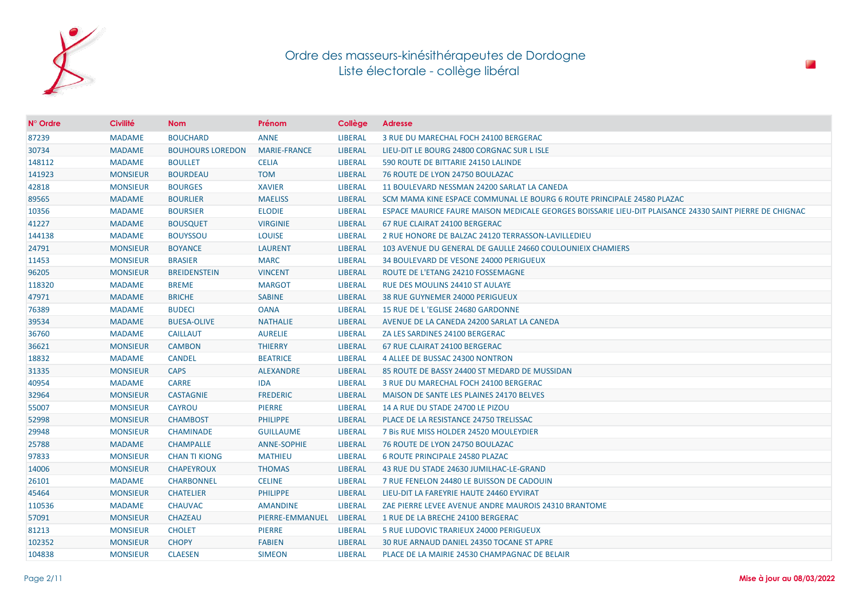

| $N^{\circ}$ Ordre | <b>Civilité</b> | <b>Nom</b>              | Prénom              | Collège        | <b>Adresse</b>                                                                                          |
|-------------------|-----------------|-------------------------|---------------------|----------------|---------------------------------------------------------------------------------------------------------|
| 87239             | <b>MADAME</b>   | <b>BOUCHARD</b>         | <b>ANNE</b>         | <b>LIBERAL</b> | 3 RUE DU MARECHAL FOCH 24100 BERGERAC                                                                   |
| 30734             | <b>MADAME</b>   | <b>BOUHOURS LOREDON</b> | <b>MARIE-FRANCE</b> | <b>LIBERAL</b> | LIEU-DIT LE BOURG 24800 CORGNAC SUR L ISLE                                                              |
| 148112            | <b>MADAME</b>   | <b>BOULLET</b>          | <b>CELIA</b>        | <b>LIBERAL</b> | 590 ROUTE DE BITTARIE 24150 LALINDE                                                                     |
| 141923            | <b>MONSIEUR</b> | <b>BOURDEAU</b>         | <b>TOM</b>          | <b>LIBERAL</b> | 76 ROUTE DE LYON 24750 BOULAZAC                                                                         |
| 42818             | <b>MONSIEUR</b> | <b>BOURGES</b>          | <b>XAVIER</b>       | <b>LIBERAL</b> | 11 BOULEVARD NESSMAN 24200 SARLAT LA CANEDA                                                             |
| 89565             | <b>MADAME</b>   | <b>BOURLIER</b>         | <b>MAELISS</b>      | <b>LIBERAL</b> | SCM MAMA KINE ESPACE COMMUNAL LE BOURG 6 ROUTE PRINCIPALE 24580 PLAZAC                                  |
| 10356             | <b>MADAME</b>   | <b>BOURSIER</b>         | <b>ELODIE</b>       | <b>LIBERAL</b> | ESPACE MAURICE FAURE MAISON MEDICALE GEORGES BOISSARIE LIEU-DIT PLAISANCE 24330 SAINT PIERRE DE CHIGNAC |
| 41227             | <b>MADAME</b>   | <b>BOUSQUET</b>         | <b>VIRGINIE</b>     | <b>LIBERAL</b> | 67 RUE CLAIRAT 24100 BERGERAC                                                                           |
| 144138            | <b>MADAME</b>   | <b>BOUYSSOU</b>         | <b>LOUISE</b>       | <b>LIBERAL</b> | 2 RUE HONORE DE BALZAC 24120 TERRASSON-LAVILLEDIEU                                                      |
| 24791             | <b>MONSIEUR</b> | <b>BOYANCE</b>          | <b>LAURENT</b>      | <b>LIBERAL</b> | 103 AVENUE DU GENERAL DE GAULLE 24660 COULOUNIEIX CHAMIERS                                              |
| 11453             | <b>MONSIEUR</b> | <b>BRASIER</b>          | <b>MARC</b>         | <b>LIBERAL</b> | 34 BOULEVARD DE VESONE 24000 PERIGUEUX                                                                  |
| 96205             | <b>MONSIEUR</b> | <b>BREIDENSTEIN</b>     | <b>VINCENT</b>      | <b>LIBERAL</b> | ROUTE DE L'ETANG 24210 FOSSEMAGNE                                                                       |
| 118320            | <b>MADAME</b>   | <b>BREME</b>            | <b>MARGOT</b>       | <b>LIBERAL</b> | <b>RUE DES MOULINS 24410 ST AULAYE</b>                                                                  |
| 47971             | <b>MADAME</b>   | <b>BRICHE</b>           | <b>SABINE</b>       | <b>LIBERAL</b> | 38 RUE GUYNEMER 24000 PERIGUEUX                                                                         |
| 76389             | <b>MADAME</b>   | <b>BUDECI</b>           | <b>OANA</b>         | <b>LIBERAL</b> | 15 RUE DE L'EGLISE 24680 GARDONNE                                                                       |
| 39534             | <b>MADAME</b>   | <b>BUESA-OLIVE</b>      | <b>NATHALIE</b>     | <b>LIBERAL</b> | AVENUE DE LA CANEDA 24200 SARLAT LA CANEDA                                                              |
| 36760             | <b>MADAME</b>   | <b>CAILLAUT</b>         | <b>AURELIE</b>      | <b>LIBERAL</b> | ZA LES SARDINES 24100 BERGERAC                                                                          |
| 36621             | <b>MONSIEUR</b> | <b>CAMBON</b>           | <b>THIERRY</b>      | <b>LIBERAL</b> | 67 RUE CLAIRAT 24100 BERGERAC                                                                           |
| 18832             | <b>MADAME</b>   | <b>CANDEL</b>           | <b>BEATRICE</b>     | <b>LIBERAL</b> | 4 ALLEE DE BUSSAC 24300 NONTRON                                                                         |
| 31335             | <b>MONSIEUR</b> | <b>CAPS</b>             | <b>ALEXANDRE</b>    | <b>LIBERAL</b> | 85 ROUTE DE BASSY 24400 ST MEDARD DE MUSSIDAN                                                           |
| 40954             | <b>MADAME</b>   | <b>CARRE</b>            | IDA                 | <b>LIBERAL</b> | 3 RUE DU MARECHAL FOCH 24100 BERGERAC                                                                   |
| 32964             | <b>MONSIEUR</b> | <b>CASTAGNIE</b>        | <b>FREDERIC</b>     | <b>LIBERAL</b> | <b>MAISON DE SANTE LES PLAINES 24170 BELVES</b>                                                         |
| 55007             | <b>MONSIEUR</b> | <b>CAYROU</b>           | <b>PIERRE</b>       | <b>LIBERAL</b> | 14 A RUE DU STADE 24700 LE PIZOU                                                                        |
| 52998             | <b>MONSIEUR</b> | <b>CHAMBOST</b>         | <b>PHILIPPE</b>     | <b>LIBERAL</b> | PLACE DE LA RESISTANCE 24750 TRELISSAC                                                                  |
| 29948             | <b>MONSIEUR</b> | <b>CHAMINADE</b>        | <b>GUILLAUME</b>    | <b>LIBERAL</b> | 7 Bis RUE MISS HOLDER 24520 MOULEYDIER                                                                  |
| 25788             | <b>MADAME</b>   | <b>CHAMPALLE</b>        | <b>ANNE-SOPHIE</b>  | <b>LIBERAL</b> | 76 ROUTE DE LYON 24750 BOULAZAC                                                                         |
| 97833             | <b>MONSIEUR</b> | <b>CHAN TI KIONG</b>    | <b>MATHIEU</b>      | <b>LIBERAL</b> | <b>6 ROUTE PRINCIPALE 24580 PLAZAC</b>                                                                  |
| 14006             | <b>MONSIEUR</b> | <b>CHAPEYROUX</b>       | <b>THOMAS</b>       | <b>LIBERAL</b> | 43 RUE DU STADE 24630 JUMILHAC-LE-GRAND                                                                 |
| 26101             | <b>MADAME</b>   | <b>CHARBONNEL</b>       | <b>CELINE</b>       | <b>LIBERAL</b> | 7 RUE FENELON 24480 LE BUISSON DE CADOUIN                                                               |
| 45464             | <b>MONSIEUR</b> | <b>CHATELIER</b>        | <b>PHILIPPE</b>     | <b>LIBERAL</b> | LIEU-DIT LA FAREYRIE HAUTE 24460 EYVIRAT                                                                |
| 110536            | <b>MADAME</b>   | <b>CHAUVAC</b>          | <b>AMANDINE</b>     | <b>LIBERAL</b> | ZAE PIERRE LEVEE AVENUE ANDRE MAUROIS 24310 BRANTOME                                                    |
| 57091             | <b>MONSIEUR</b> | <b>CHAZEAU</b>          | PIERRE-EMMANUEL     | LIBERAL        | 1 RUE DE LA BRECHE 24100 BERGERAC                                                                       |
| 81213             | <b>MONSIEUR</b> | <b>CHOLET</b>           | <b>PIERRE</b>       | <b>LIBERAL</b> | 5 RUE LUDOVIC TRARIEUX 24000 PERIGUEUX                                                                  |
| 102352            | <b>MONSIEUR</b> | <b>CHOPY</b>            | <b>FABIEN</b>       | <b>LIBERAL</b> | 30 RUE ARNAUD DANIEL 24350 TOCANE ST APRE                                                               |
| 104838            | <b>MONSIEUR</b> | <b>CLAESEN</b>          | <b>SIMEON</b>       | <b>LIBERAL</b> | PLACE DE LA MAIRIE 24530 CHAMPAGNAC DE BELAIR                                                           |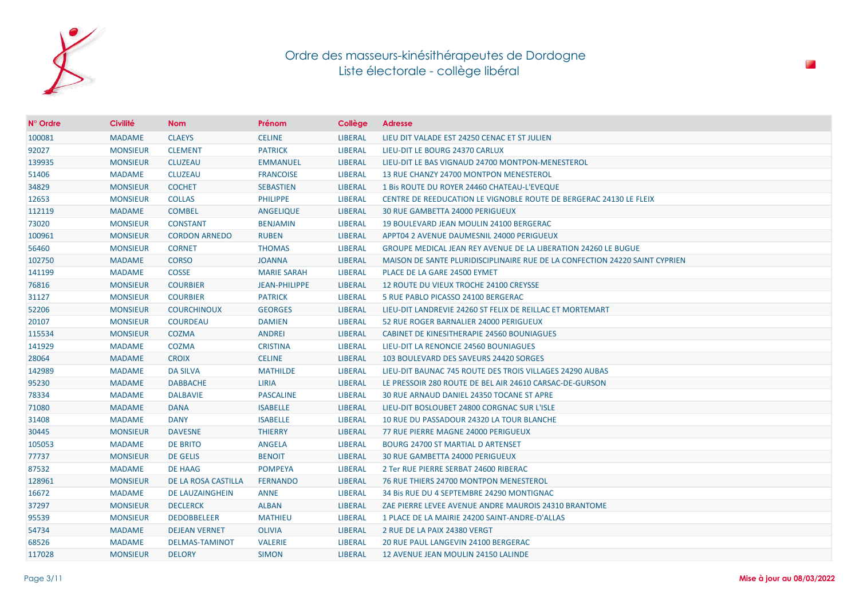

| $N^{\circ}$ Ordre | <b>Civilité</b> | <b>Nom</b>             | Prénom               | Collège        | <b>Adresse</b>                                                              |
|-------------------|-----------------|------------------------|----------------------|----------------|-----------------------------------------------------------------------------|
| 100081            | <b>MADAME</b>   | <b>CLAEYS</b>          | <b>CELINE</b>        | <b>LIBERAL</b> | LIEU DIT VALADE EST 24250 CENAC ET ST JULIEN                                |
| 92027             | <b>MONSIEUR</b> | <b>CLEMENT</b>         | <b>PATRICK</b>       | <b>LIBERAL</b> | LIEU-DIT LE BOURG 24370 CARLUX                                              |
| 139935            | <b>MONSIEUR</b> | <b>CLUZEAU</b>         | <b>EMMANUEL</b>      | <b>LIBERAL</b> | LIEU-DIT LE BAS VIGNAUD 24700 MONTPON-MENESTEROL                            |
| 51406             | <b>MADAME</b>   | <b>CLUZEAU</b>         | <b>FRANCOISE</b>     | <b>LIBERAL</b> | 13 RUE CHANZY 24700 MONTPON MENESTEROL                                      |
| 34829             | <b>MONSIEUR</b> | <b>COCHET</b>          | <b>SEBASTIEN</b>     | <b>LIBERAL</b> | 1 Bis ROUTE DU ROYER 24460 CHATEAU-L'EVEQUE                                 |
| 12653             | <b>MONSIEUR</b> | <b>COLLAS</b>          | <b>PHILIPPE</b>      | <b>LIBERAL</b> | <b>CENTRE DE REEDUCATION LE VIGNOBLE ROUTE DE BERGERAC 24130 LE FLEIX</b>   |
| 112119            | <b>MADAME</b>   | <b>COMBEL</b>          | ANGELIQUE            | <b>LIBERAL</b> | 30 RUE GAMBETTA 24000 PERIGUEUX                                             |
| 73020             | <b>MONSIEUR</b> | <b>CONSTANT</b>        | <b>BENJAMIN</b>      | <b>LIBERAL</b> | 19 BOULEVARD JEAN MOULIN 24100 BERGERAC                                     |
| 100961            | <b>MONSIEUR</b> | <b>CORDON ARNEDO</b>   | <b>RUBEN</b>         | <b>LIBERAL</b> | APPT04 2 AVENUE DAUMESNIL 24000 PERIGUEUX                                   |
| 56460             | <b>MONSIEUR</b> | <b>CORNET</b>          | <b>THOMAS</b>        | <b>LIBERAL</b> | GROUPE MEDICAL JEAN REY AVENUE DE LA LIBERATION 24260 LE BUGUE              |
| 102750            | <b>MADAME</b>   | <b>CORSO</b>           | <b>JOANNA</b>        | <b>LIBERAL</b> | MAISON DE SANTE PLURIDISCIPLINAIRE RUE DE LA CONFECTION 24220 SAINT CYPRIEN |
| 141199            | <b>MADAME</b>   | <b>COSSE</b>           | <b>MARIE SARAH</b>   | <b>LIBERAL</b> | PLACE DE LA GARE 24500 EYMET                                                |
| 76816             | <b>MONSIEUR</b> | <b>COURBIER</b>        | <b>JEAN-PHILIPPE</b> | <b>LIBERAL</b> | 12 ROUTE DU VIEUX TROCHE 24100 CREYSSE                                      |
| 31127             | <b>MONSIEUR</b> | <b>COURBIER</b>        | <b>PATRICK</b>       | <b>LIBERAL</b> | 5 RUE PABLO PICASSO 24100 BERGERAC                                          |
| 52206             | <b>MONSIEUR</b> | <b>COURCHINOUX</b>     | <b>GEORGES</b>       | <b>LIBERAL</b> | LIEU-DIT LANDREVIE 24260 ST FELIX DE REILLAC ET MORTEMART                   |
| 20107             | <b>MONSIEUR</b> | <b>COURDEAU</b>        | <b>DAMIEN</b>        | <b>LIBERAL</b> | 52 RUE ROGER BARNALIER 24000 PERIGUEUX                                      |
| 115534            | <b>MONSIEUR</b> | <b>COZMA</b>           | <b>ANDREI</b>        | <b>LIBERAL</b> | CABINET DE KINESITHERAPIE 24560 BOUNIAGUES                                  |
| 141929            | <b>MADAME</b>   | <b>COZMA</b>           | <b>CRISTINA</b>      | <b>LIBERAL</b> | LIEU-DIT LA RENONCIE 24560 BOUNIAGUES                                       |
| 28064             | <b>MADAME</b>   | <b>CROIX</b>           | <b>CELINE</b>        | <b>LIBERAL</b> | 103 BOULEVARD DES SAVEURS 24420 SORGES                                      |
| 142989            | <b>MADAME</b>   | <b>DA SILVA</b>        | <b>MATHILDE</b>      | <b>LIBERAL</b> | LIEU-DIT BAUNAC 745 ROUTE DES TROIS VILLAGES 24290 AUBAS                    |
| 95230             | <b>MADAME</b>   | <b>DABBACHE</b>        | <b>LIRIA</b>         | <b>LIBERAL</b> | LE PRESSOIR 280 ROUTE DE BEL AIR 24610 CARSAC-DE-GURSON                     |
| 78334             | <b>MADAME</b>   | <b>DALBAVIE</b>        | <b>PASCALINE</b>     | <b>LIBERAL</b> | 30 RUE ARNAUD DANIEL 24350 TOCANE ST APRE                                   |
| 71080             | <b>MADAME</b>   | <b>DANA</b>            | <b>ISABELLE</b>      | <b>LIBERAL</b> | LIEU-DIT BOSLOUBET 24800 CORGNAC SUR L'ISLE                                 |
| 31408             | <b>MADAME</b>   | <b>DANY</b>            | <b>ISABELLE</b>      | <b>LIBERAL</b> | 10 RUE DU PASSADOUR 24320 LA TOUR BLANCHE                                   |
| 30445             | <b>MONSIEUR</b> | <b>DAVESNE</b>         | <b>THIERRY</b>       | LIBERAL        | 77 RUE PIERRE MAGNE 24000 PERIGUEUX                                         |
| 105053            | <b>MADAME</b>   | <b>DE BRITO</b>        | <b>ANGELA</b>        | <b>LIBERAL</b> | <b>BOURG 24700 ST MARTIAL D ARTENSET</b>                                    |
| 77737             | <b>MONSIEUR</b> | <b>DE GELIS</b>        | <b>BENOIT</b>        | <b>LIBERAL</b> | 30 RUE GAMBETTA 24000 PERIGUEUX                                             |
| 87532             | <b>MADAME</b>   | <b>DE HAAG</b>         | <b>POMPEYA</b>       | <b>LIBERAL</b> | 2 Ter RUE PIERRE SERBAT 24600 RIBERAC                                       |
| 128961            | <b>MONSIEUR</b> | DE LA ROSA CASTILLA    | <b>FERNANDO</b>      | <b>LIBERAL</b> | 76 RUE THIERS 24700 MONTPON MENESTEROL                                      |
| 16672             | <b>MADAME</b>   | <b>DE LAUZAINGHEIN</b> | <b>ANNE</b>          | <b>LIBERAL</b> | 34 Bis RUE DU 4 SEPTEMBRE 24290 MONTIGNAC                                   |
| 37297             | <b>MONSIEUR</b> | <b>DECLERCK</b>        | <b>ALBAN</b>         | <b>LIBERAL</b> | ZAE PIERRE LEVEE AVENUE ANDRE MAUROIS 24310 BRANTOME                        |
| 95539             | <b>MONSIEUR</b> | <b>DEDOBBELEER</b>     | <b>MATHIEU</b>       | <b>LIBERAL</b> | 1 PLACE DE LA MAIRIE 24200 SAINT-ANDRE-D'ALLAS                              |
| 54734             | <b>MADAME</b>   | <b>DEJEAN VERNET</b>   | <b>OLIVIA</b>        | <b>LIBERAL</b> | 2 RUE DE LA PAIX 24380 VERGT                                                |
| 68526             | <b>MADAME</b>   | <b>DELMAS-TAMINOT</b>  | <b>VALERIE</b>       | <b>LIBERAL</b> | 20 RUE PAUL LANGEVIN 24100 BERGERAC                                         |
| 117028            | <b>MONSIEUR</b> | <b>DELORY</b>          | <b>SIMON</b>         | <b>LIBERAL</b> | 12 AVENUE JEAN MOULIN 24150 LALINDE                                         |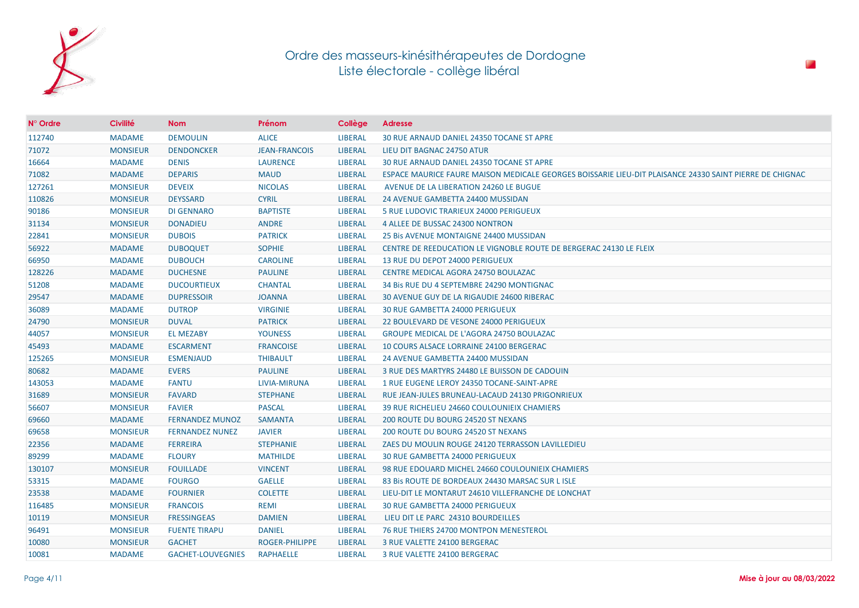

| N° Ordre | <b>Civilité</b> | <b>Nom</b>               | Prénom                | Collège        | <b>Adresse</b>                                                                                          |
|----------|-----------------|--------------------------|-----------------------|----------------|---------------------------------------------------------------------------------------------------------|
| 112740   | <b>MADAME</b>   | <b>DEMOULIN</b>          | <b>ALICE</b>          | <b>LIBERAL</b> | 30 RUE ARNAUD DANIEL 24350 TOCANE ST APRE                                                               |
| 71072    | <b>MONSIEUR</b> | <b>DENDONCKER</b>        | <b>JEAN-FRANCOIS</b>  | <b>LIBERAL</b> | LIEU DIT BAGNAC 24750 ATUR                                                                              |
| 16664    | <b>MADAME</b>   | <b>DENIS</b>             | <b>LAURENCE</b>       | <b>LIBERAL</b> | 30 RUE ARNAUD DANIEL 24350 TOCANE ST APRE                                                               |
| 71082    | <b>MADAME</b>   | <b>DEPARIS</b>           | <b>MAUD</b>           | <b>LIBERAL</b> | ESPACE MAURICE FAURE MAISON MEDICALE GEORGES BOISSARIE LIEU-DIT PLAISANCE 24330 SAINT PIERRE DE CHIGNAC |
| 127261   | <b>MONSIEUR</b> | <b>DEVEIX</b>            | <b>NICOLAS</b>        | <b>LIBERAL</b> | AVENUE DE LA LIBERATION 24260 LE BUGUE                                                                  |
| 110826   | <b>MONSIEUR</b> | <b>DEYSSARD</b>          | <b>CYRIL</b>          | <b>LIBERAL</b> | 24 AVENUE GAMBETTA 24400 MUSSIDAN                                                                       |
| 90186    | <b>MONSIEUR</b> | <b>DI GENNARO</b>        | <b>BAPTISTE</b>       | <b>LIBERAL</b> | 5 RUE LUDOVIC TRARIEUX 24000 PERIGUEUX                                                                  |
| 31134    | <b>MONSIEUR</b> | <b>DONADIEU</b>          | <b>ANDRE</b>          | <b>LIBERAL</b> | 4 ALLEE DE BUSSAC 24300 NONTRON                                                                         |
| 22841    | <b>MONSIEUR</b> | <b>DUBOIS</b>            | <b>PATRICK</b>        | <b>LIBERAL</b> | 25 Bis AVENUE MONTAIGNE 24400 MUSSIDAN                                                                  |
| 56922    | <b>MADAME</b>   | <b>DUBOQUET</b>          | <b>SOPHIE</b>         | <b>LIBERAL</b> | CENTRE DE REEDUCATION LE VIGNOBLE ROUTE DE BERGERAC 24130 LE FLEIX                                      |
| 66950    | <b>MADAME</b>   | <b>DUBOUCH</b>           | <b>CAROLINE</b>       | <b>LIBERAL</b> | 13 RUE DU DEPOT 24000 PERIGUEUX                                                                         |
| 128226   | <b>MADAME</b>   | <b>DUCHESNE</b>          | <b>PAULINE</b>        | <b>LIBERAL</b> | CENTRE MEDICAL AGORA 24750 BOULAZAC                                                                     |
| 51208    | <b>MADAME</b>   | <b>DUCOURTIEUX</b>       | <b>CHANTAL</b>        | <b>LIBERAL</b> | 34 Bis RUE DU 4 SEPTEMBRE 24290 MONTIGNAC                                                               |
| 29547    | <b>MADAME</b>   | <b>DUPRESSOIR</b>        | <b>JOANNA</b>         | <b>LIBERAL</b> | 30 AVENUE GUY DE LA RIGAUDIE 24600 RIBERAC                                                              |
| 36089    | <b>MADAME</b>   | <b>DUTROP</b>            | <b>VIRGINIE</b>       | <b>LIBERAL</b> | <b>30 RUE GAMBETTA 24000 PERIGUEUX</b>                                                                  |
| 24790    | <b>MONSIEUR</b> | <b>DUVAL</b>             | <b>PATRICK</b>        | <b>LIBERAL</b> | 22 BOULEVARD DE VESONE 24000 PERIGUEUX                                                                  |
| 44057    | <b>MONSIEUR</b> | <b>EL MEZABY</b>         | <b>YOUNESS</b>        | <b>LIBERAL</b> | <b>GROUPE MEDICAL DE L'AGORA 24750 BOULAZAC</b>                                                         |
| 45493    | <b>MADAME</b>   | <b>ESCARMENT</b>         | <b>FRANCOISE</b>      | <b>LIBERAL</b> | 10 COURS ALSACE LORRAINE 24100 BERGERAC                                                                 |
| 125265   | <b>MONSIEUR</b> | <b>ESMENJAUD</b>         | <b>THIBAULT</b>       | <b>LIBERAL</b> | 24 AVENUE GAMBETTA 24400 MUSSIDAN                                                                       |
| 80682    | <b>MADAME</b>   | <b>EVERS</b>             | <b>PAULINE</b>        | <b>LIBERAL</b> | 3 RUE DES MARTYRS 24480 LE BUISSON DE CADOUIN                                                           |
| 143053   | <b>MADAME</b>   | <b>FANTU</b>             | LIVIA-MIRUNA          | <b>LIBERAL</b> | 1 RUE EUGENE LEROY 24350 TOCANE-SAINT-APRE                                                              |
| 31689    | <b>MONSIEUR</b> | <b>FAVARD</b>            | <b>STEPHANE</b>       | <b>LIBERAL</b> | RUE JEAN-JULES BRUNEAU-LACAUD 24130 PRIGONRIEUX                                                         |
| 56607    | <b>MONSIEUR</b> | <b>FAVIER</b>            | <b>PASCAL</b>         | <b>LIBERAL</b> | 39 RUE RICHELIEU 24660 COULOUNIEIX CHAMIERS                                                             |
| 69660    | <b>MADAME</b>   | <b>FERNANDEZ MUNOZ</b>   | <b>SAMANTA</b>        | <b>LIBERAL</b> | 200 ROUTE DU BOURG 24520 ST NEXANS                                                                      |
| 69658    | <b>MONSIEUR</b> | <b>FERNANDEZ NUNEZ</b>   | <b>JAVIER</b>         | <b>LIBERAL</b> | 200 ROUTE DU BOURG 24520 ST NEXANS                                                                      |
| 22356    | <b>MADAME</b>   | <b>FERREIRA</b>          | <b>STEPHANIE</b>      | <b>LIBERAL</b> | ZAES DU MOULIN ROUGE 24120 TERRASSON LAVILLEDIEU                                                        |
| 89299    | <b>MADAME</b>   | <b>FLOURY</b>            | <b>MATHILDE</b>       | <b>LIBERAL</b> | 30 RUE GAMBETTA 24000 PERIGUEUX                                                                         |
| 130107   | <b>MONSIEUR</b> | <b>FOUILLADE</b>         | <b>VINCENT</b>        | <b>LIBERAL</b> | 98 RUE EDOUARD MICHEL 24660 COULOUNIEIX CHAMIERS                                                        |
| 53315    | <b>MADAME</b>   | <b>FOURGO</b>            | <b>GAELLE</b>         | <b>LIBERAL</b> | 83 Bis ROUTE DE BORDEAUX 24430 MARSAC SUR L ISLE                                                        |
| 23538    | <b>MADAME</b>   | <b>FOURNIER</b>          | <b>COLETTE</b>        | <b>LIBERAL</b> | LIEU-DIT LE MONTARUT 24610 VILLEFRANCHE DE LONCHAT                                                      |
| 116485   | <b>MONSIEUR</b> | <b>FRANCOIS</b>          | <b>REMI</b>           | <b>LIBERAL</b> | <b>30 RUE GAMBETTA 24000 PERIGUEUX</b>                                                                  |
| 10119    | <b>MONSIEUR</b> | <b>FRESSINGEAS</b>       | <b>DAMIEN</b>         | <b>LIBERAL</b> | LIEU DIT LE PARC 24310 BOURDEILLES                                                                      |
| 96491    | <b>MONSIEUR</b> | <b>FUENTE TIRAPU</b>     | <b>DANIEL</b>         | <b>LIBERAL</b> | <b>76 RUE THIERS 24700 MONTPON MENESTEROL</b>                                                           |
| 10080    | <b>MONSIEUR</b> | <b>GACHET</b>            | <b>ROGER-PHILIPPE</b> | <b>LIBERAL</b> | 3 RUE VALETTE 24100 BERGERAC                                                                            |
| 10081    | <b>MADAME</b>   | <b>GACHET-LOUVEGNIES</b> | <b>RAPHAELLE</b>      | <b>LIBERAL</b> | 3 RUE VALETTE 24100 BERGERAC                                                                            |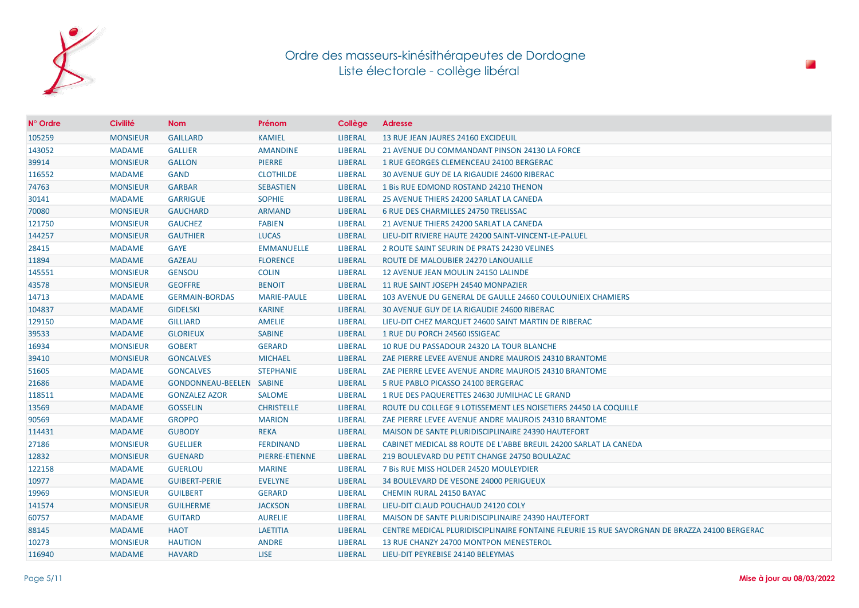

| N° Ordre | <b>Civilité</b> | <b>Nom</b>               | Prénom                | Collège        | <b>Adresse</b>                                                                               |
|----------|-----------------|--------------------------|-----------------------|----------------|----------------------------------------------------------------------------------------------|
| 105259   | <b>MONSIEUR</b> | <b>GAILLARD</b>          | <b>KAMIEL</b>         | <b>LIBERAL</b> | 13 RUE JEAN JAURES 24160 EXCIDEUIL                                                           |
| 143052   | <b>MADAME</b>   | <b>GALLIER</b>           | <b>AMANDINE</b>       | <b>LIBERAL</b> | 21 AVENUE DU COMMANDANT PINSON 24130 LA FORCE                                                |
| 39914    | <b>MONSIEUR</b> | <b>GALLON</b>            | <b>PIERRE</b>         | <b>LIBERAL</b> | 1 RUE GEORGES CLEMENCEAU 24100 BERGERAC                                                      |
| 116552   | <b>MADAME</b>   | <b>GAND</b>              | <b>CLOTHILDE</b>      | <b>LIBERAL</b> | 30 AVENUE GUY DE LA RIGAUDIE 24600 RIBERAC                                                   |
| 74763    | <b>MONSIEUR</b> | <b>GARBAR</b>            | <b>SEBASTIEN</b>      | <b>LIBERAL</b> | 1 Bis RUE EDMOND ROSTAND 24210 THENON                                                        |
| 30141    | <b>MADAME</b>   | <b>GARRIGUE</b>          | <b>SOPHIE</b>         | <b>LIBERAL</b> | 25 AVENUE THIERS 24200 SARLAT LA CANEDA                                                      |
| 70080    | <b>MONSIEUR</b> | <b>GAUCHARD</b>          | <b>ARMAND</b>         | <b>LIBERAL</b> | 6 RUE DES CHARMILLES 24750 TRELISSAC                                                         |
| 121750   | <b>MONSIEUR</b> | <b>GAUCHEZ</b>           | <b>FABIEN</b>         | <b>LIBERAL</b> | 21 AVENUE THIERS 24200 SARLAT LA CANEDA                                                      |
| 144257   | <b>MONSIEUR</b> | <b>GAUTHIER</b>          | <b>LUCAS</b>          | <b>LIBERAL</b> | LIEU-DIT RIVIERE HAUTE 24200 SAINT-VINCENT-LE-PALUEL                                         |
| 28415    | <b>MADAME</b>   | <b>GAYE</b>              | <b>EMMANUELLE</b>     | <b>LIBERAL</b> | 2 ROUTE SAINT SEURIN DE PRATS 24230 VELINES                                                  |
| 11894    | <b>MADAME</b>   | <b>GAZEAU</b>            | <b>FLORENCE</b>       | <b>LIBERAL</b> | ROUTE DE MALOUBIER 24270 LANOUAILLE                                                          |
| 145551   | <b>MONSIEUR</b> | <b>GENSOU</b>            | <b>COLIN</b>          | <b>LIBERAL</b> | 12 AVENUE JEAN MOULIN 24150 LALINDE                                                          |
| 43578    | <b>MONSIEUR</b> | <b>GEOFFRE</b>           | <b>BENOIT</b>         | <b>LIBERAL</b> | 11 RUE SAINT JOSEPH 24540 MONPAZIER                                                          |
| 14713    | <b>MADAME</b>   | <b>GERMAIN-BORDAS</b>    | <b>MARIE-PAULE</b>    | <b>LIBERAL</b> | 103 AVENUE DU GENERAL DE GAULLE 24660 COULOUNIEIX CHAMIERS                                   |
| 104837   | <b>MADAME</b>   | <b>GIDELSKI</b>          | <b>KARINE</b>         | <b>LIBERAL</b> | 30 AVENUE GUY DE LA RIGAUDIE 24600 RIBERAC                                                   |
| 129150   | <b>MADAME</b>   | <b>GILLIARD</b>          | <b>AMELIE</b>         | <b>LIBERAL</b> | LIEU-DIT CHEZ MARQUET 24600 SAINT MARTIN DE RIBERAC                                          |
| 39533    | <b>MADAME</b>   | <b>GLORIEUX</b>          | <b>SABINE</b>         | <b>LIBERAL</b> | 1 RUE DU PORCH 24560 ISSIGEAC                                                                |
| 16934    | <b>MONSIEUR</b> | <b>GOBERT</b>            | <b>GERARD</b>         | <b>LIBERAL</b> | 10 RUE DU PASSADOUR 24320 LA TOUR BLANCHE                                                    |
| 39410    | <b>MONSIEUR</b> | <b>GONCALVES</b>         | <b>MICHAEL</b>        | <b>LIBERAL</b> | ZAE PIERRE LEVEE AVENUE ANDRE MAUROIS 24310 BRANTOME                                         |
| 51605    | <b>MADAME</b>   | <b>GONCALVES</b>         | <b>STEPHANIE</b>      | <b>LIBERAL</b> | ZAE PIERRE LEVEE AVENUE ANDRE MAUROIS 24310 BRANTOME                                         |
| 21686    | <b>MADAME</b>   | GONDONNEAU-BEELEN SABINE |                       | <b>LIBERAL</b> | 5 RUE PABLO PICASSO 24100 BERGERAC                                                           |
| 118511   | <b>MADAME</b>   | <b>GONZALEZ AZOR</b>     | <b>SALOME</b>         | <b>LIBERAL</b> | 1 RUE DES PAQUERETTES 24630 JUMILHAC LE GRAND                                                |
| 13569    | <b>MADAME</b>   | <b>GOSSELIN</b>          | <b>CHRISTELLE</b>     | <b>LIBERAL</b> | ROUTE DU COLLEGE 9 LOTISSEMENT LES NOISETIERS 24450 LA COQUILLE                              |
| 90569    | <b>MADAME</b>   | <b>GROPPO</b>            | <b>MARION</b>         | <b>LIBERAL</b> | ZAE PIERRE LEVEE AVENUE ANDRE MAUROIS 24310 BRANTOME                                         |
| 114431   | <b>MADAME</b>   | <b>GUBODY</b>            | <b>REKA</b>           | <b>LIBERAL</b> | MAISON DE SANTE PLURIDISCIPLINAIRE 24390 HAUTEFORT                                           |
| 27186    | <b>MONSIEUR</b> | <b>GUELLIER</b>          | <b>FERDINAND</b>      | <b>LIBERAL</b> | CABINET MEDICAL 88 ROUTE DE L'ABBE BREUIL 24200 SARLAT LA CANEDA                             |
| 12832    | <b>MONSIEUR</b> | <b>GUENARD</b>           | <b>PIERRE-ETIENNE</b> | <b>LIBERAL</b> | 219 BOULEVARD DU PETIT CHANGE 24750 BOULAZAC                                                 |
| 122158   | <b>MADAME</b>   | <b>GUERLOU</b>           | <b>MARINE</b>         | <b>LIBERAL</b> | 7 Bis RUE MISS HOLDER 24520 MOULEYDIER                                                       |
| 10977    | <b>MADAME</b>   | <b>GUIBERT-PERIE</b>     | <b>EVELYNE</b>        | <b>LIBERAL</b> | 34 BOULEVARD DE VESONE 24000 PERIGUEUX                                                       |
| 19969    | <b>MONSIEUR</b> | <b>GUILBERT</b>          | <b>GERARD</b>         | <b>LIBERAL</b> | <b>CHEMIN RURAL 24150 BAYAC</b>                                                              |
| 141574   | <b>MONSIEUR</b> | <b>GUILHERME</b>         | <b>JACKSON</b>        | <b>LIBERAL</b> | LIEU-DIT CLAUD POUCHAUD 24120 COLY                                                           |
| 60757    | <b>MADAME</b>   | <b>GUITARD</b>           | <b>AURELIE</b>        | <b>LIBERAL</b> | MAISON DE SANTE PLURIDISCIPLINAIRE 24390 HAUTEFORT                                           |
| 88145    | <b>MADAME</b>   | <b>HAOT</b>              | <b>LAETITIA</b>       | <b>LIBERAL</b> | CENTRE MEDICAL PLURIDISCIPLINAIRE FONTAINE FLEURIE 15 RUE SAVORGNAN DE BRAZZA 24100 BERGERAC |
| 10273    | <b>MONSIEUR</b> | <b>HAUTION</b>           | <b>ANDRE</b>          | <b>LIBERAL</b> | 13 RUE CHANZY 24700 MONTPON MENESTEROL                                                       |
| 116940   | <b>MADAME</b>   | <b>HAVARD</b>            | <b>LISE</b>           | <b>LIBERAL</b> | LIEU-DIT PEYREBISE 24140 BELEYMAS                                                            |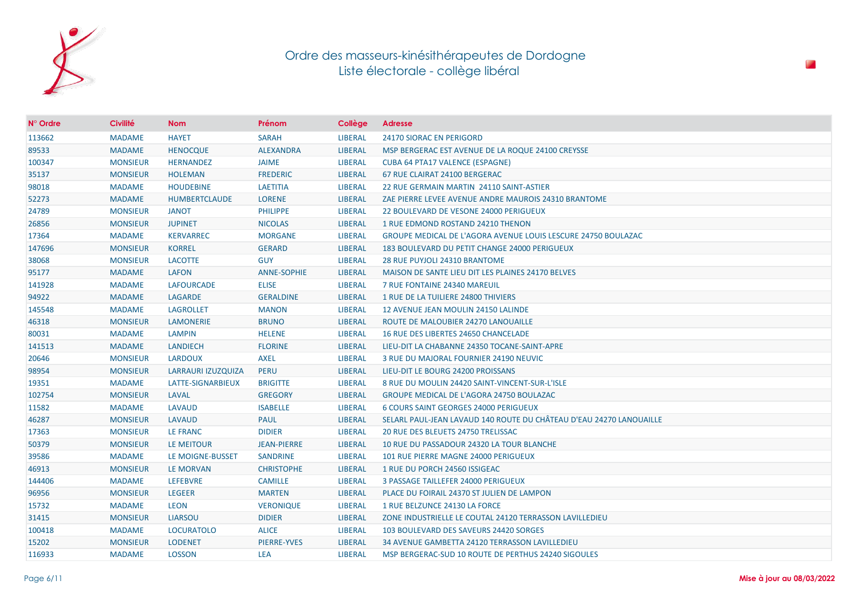

| N° Ordre | <b>Civilité</b> | <b>Nom</b>           | Prénom             | Collège        | <b>Adresse</b>                                                      |
|----------|-----------------|----------------------|--------------------|----------------|---------------------------------------------------------------------|
| 113662   | <b>MADAME</b>   | <b>HAYET</b>         | <b>SARAH</b>       | <b>LIBERAL</b> | <b>24170 SIORAC EN PERIGORD</b>                                     |
| 89533    | <b>MADAME</b>   | <b>HENOCQUE</b>      | <b>ALEXANDRA</b>   | <b>LIBERAL</b> | MSP BERGERAC EST AVENUE DE LA ROQUE 24100 CREYSSE                   |
| 100347   | <b>MONSIEUR</b> | <b>HERNANDEZ</b>     | <b>JAIME</b>       | <b>LIBERAL</b> | <b>CUBA 64 PTA17 VALENCE (ESPAGNE)</b>                              |
| 35137    | <b>MONSIEUR</b> | <b>HOLEMAN</b>       | <b>FREDERIC</b>    | <b>LIBERAL</b> | 67 RUE CLAIRAT 24100 BERGERAC                                       |
| 98018    | <b>MADAME</b>   | <b>HOUDEBINE</b>     | <b>LAETITIA</b>    | <b>LIBERAL</b> | 22 RUE GERMAIN MARTIN 24110 SAINT-ASTIER                            |
| 52273    | <b>MADAME</b>   | <b>HUMBERTCLAUDE</b> | <b>LORENE</b>      | <b>LIBERAL</b> | ZAE PIERRE LEVEE AVENUE ANDRE MAUROIS 24310 BRANTOME                |
| 24789    | <b>MONSIEUR</b> | <b>JANOT</b>         | <b>PHILIPPE</b>    | <b>LIBERAL</b> | 22 BOULEVARD DE VESONE 24000 PERIGUEUX                              |
| 26856    | <b>MONSIEUR</b> | <b>JUPINET</b>       | <b>NICOLAS</b>     | <b>LIBERAL</b> | 1 RUE EDMOND ROSTAND 24210 THENON                                   |
| 17364    | <b>MADAME</b>   | <b>KERVARREC</b>     | <b>MORGANE</b>     | <b>LIBERAL</b> | GROUPE MEDICAL DE L'AGORA AVENUE LOUIS LESCURE 24750 BOULAZAC       |
| 147696   | <b>MONSIEUR</b> | <b>KORREL</b>        | <b>GERARD</b>      | <b>LIBERAL</b> | 183 BOULEVARD DU PETIT CHANGE 24000 PERIGUEUX                       |
| 38068    | <b>MONSIEUR</b> | <b>LACOTTE</b>       | <b>GUY</b>         | <b>LIBERAL</b> | 28 RUE PUYJOLI 24310 BRANTOME                                       |
| 95177    | <b>MADAME</b>   | <b>LAFON</b>         | <b>ANNE-SOPHIE</b> | <b>LIBERAL</b> | MAISON DE SANTE LIEU DIT LES PLAINES 24170 BELVES                   |
| 141928   | <b>MADAME</b>   | <b>LAFOURCADE</b>    | <b>ELISE</b>       | <b>LIBERAL</b> | 7 RUE FONTAINE 24340 MAREUIL                                        |
| 94922    | <b>MADAME</b>   | LAGARDE              | <b>GERALDINE</b>   | <b>LIBERAL</b> | 1 RUE DE LA TUILIERE 24800 THIVIERS                                 |
| 145548   | <b>MADAME</b>   | <b>LAGROLLET</b>     | <b>MANON</b>       | <b>LIBERAL</b> | 12 AVENUE JEAN MOULIN 24150 LALINDE                                 |
| 46318    | <b>MONSIEUR</b> | <b>LAMONERIE</b>     | <b>BRUNO</b>       | <b>LIBERAL</b> | ROUTE DE MALOUBIER 24270 LANOUAILLE                                 |
| 80031    | <b>MADAME</b>   | LAMPIN               | <b>HELENE</b>      | <b>LIBERAL</b> | 16 RUE DES LIBERTES 24650 CHANCELADE                                |
| 141513   | <b>MADAME</b>   | <b>LANDIECH</b>      | <b>FLORINE</b>     | <b>LIBERAL</b> | LIEU-DIT LA CHABANNE 24350 TOCANE-SAINT-APRE                        |
| 20646    | <b>MONSIEUR</b> | LARDOUX              | <b>AXEL</b>        | <b>LIBERAL</b> | 3 RUE DU MAJORAL FOURNIER 24190 NEUVIC                              |
| 98954    | <b>MONSIEUR</b> | LARRAURI IZUZQUIZA   | <b>PERU</b>        | <b>LIBERAL</b> | LIEU-DIT LE BOURG 24200 PROISSANS                                   |
| 19351    | <b>MADAME</b>   | LATTE-SIGNARBIEUX    | <b>BRIGITTE</b>    | <b>LIBERAL</b> | 8 RUE DU MOULIN 24420 SAINT-VINCENT-SUR-L'ISLE                      |
| 102754   | <b>MONSIEUR</b> | LAVAL                | <b>GREGORY</b>     | <b>LIBERAL</b> | GROUPE MEDICAL DE L'AGORA 24750 BOULAZAC                            |
| 11582    | <b>MADAME</b>   | LAVAUD               | <b>ISABELLE</b>    | <b>LIBERAL</b> | 6 COURS SAINT GEORGES 24000 PERIGUEUX                               |
| 46287    | <b>MONSIEUR</b> | <b>LAVAUD</b>        | <b>PAUL</b>        | <b>LIBERAL</b> | SELARL PAUL-JEAN LAVAUD 140 ROUTE DU CHÂTEAU D'EAU 24270 LANOUAILLE |
| 17363    | <b>MONSIEUR</b> | LE FRANC             | <b>DIDIER</b>      | <b>LIBERAL</b> | 20 RUE DES BLEUETS 24750 TRELISSAC                                  |
| 50379    | <b>MONSIEUR</b> | LE MEITOUR           | <b>JEAN-PIERRE</b> | <b>LIBERAL</b> | 10 RUE DU PASSADOUR 24320 LA TOUR BLANCHE                           |
| 39586    | <b>MADAME</b>   | LE MOIGNE-BUSSET     | <b>SANDRINE</b>    | <b>LIBERAL</b> | 101 RUE PIERRE MAGNE 24000 PERIGUEUX                                |
| 46913    | <b>MONSIEUR</b> | LE MORVAN            | <b>CHRISTOPHE</b>  | <b>LIBERAL</b> | 1 RUE DU PORCH 24560 ISSIGEAC                                       |
| 144406   | <b>MADAME</b>   | <b>LEFEBVRE</b>      | <b>CAMILLE</b>     | <b>LIBERAL</b> | 3 PASSAGE TAILLEFER 24000 PERIGUEUX                                 |
| 96956    | <b>MONSIEUR</b> | <b>LEGEER</b>        | <b>MARTEN</b>      | <b>LIBERAL</b> | PLACE DU FOIRAIL 24370 ST JULIEN DE LAMPON                          |
| 15732    | <b>MADAME</b>   | <b>LEON</b>          | <b>VERONIQUE</b>   | <b>LIBERAL</b> | 1 RUE BELZUNCE 24130 LA FORCE                                       |
| 31415    | <b>MONSIEUR</b> | <b>LIARSOU</b>       | <b>DIDIER</b>      | <b>LIBERAL</b> | ZONE INDUSTRIELLE LE COUTAL 24120 TERRASSON LAVILLEDIEU             |
| 100418   | <b>MADAME</b>   | <b>LOCURATOLO</b>    | <b>ALICE</b>       | <b>LIBERAL</b> | 103 BOULEVARD DES SAVEURS 24420 SORGES                              |
| 15202    | <b>MONSIEUR</b> | <b>LODENET</b>       | <b>PIERRE-YVES</b> | <b>LIBERAL</b> | 34 AVENUE GAMBETTA 24120 TERRASSON LAVILLEDIEU                      |
| 116933   | <b>MADAME</b>   | <b>LOSSON</b>        | <b>LEA</b>         | <b>LIBERAL</b> | MSP BERGERAC-SUD 10 ROUTE DE PERTHUS 24240 SIGOULES                 |

P.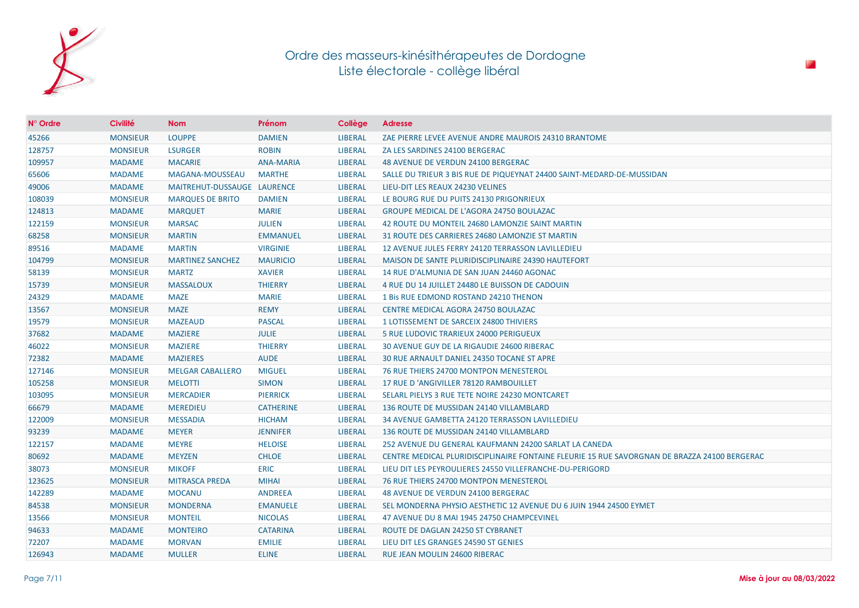

| $N^{\circ}$ Ordre | <b>Civilité</b> | <b>Nom</b>                  | Prénom           | Collège        | <b>Adresse</b>                                                                               |
|-------------------|-----------------|-----------------------------|------------------|----------------|----------------------------------------------------------------------------------------------|
| 45266             | <b>MONSIEUR</b> | <b>LOUPPE</b>               | <b>DAMIEN</b>    | <b>LIBERAL</b> | ZAE PIERRE LEVEE AVENUE ANDRE MAUROIS 24310 BRANTOME                                         |
| 128757            | <b>MONSIEUR</b> | <b>LSURGER</b>              | <b>ROBIN</b>     | <b>LIBERAL</b> | ZA LES SARDINES 24100 BERGERAC                                                               |
| 109957            | <b>MADAME</b>   | <b>MACARIE</b>              | <b>ANA-MARIA</b> | <b>LIBERAL</b> | 48 AVENUE DE VERDUN 24100 BERGERAC                                                           |
| 65606             | <b>MADAME</b>   | MAGANA-MOUSSEAU             | <b>MARTHE</b>    | <b>LIBERAL</b> | SALLE DU TRIEUR 3 BIS RUE DE PIQUEYNAT 24400 SAINT-MEDARD-DE-MUSSIDAN                        |
| 49006             | <b>MADAME</b>   | MAITREHUT-DUSSAUGE LAURENCE |                  | <b>LIBERAL</b> | LIEU-DIT LES REAUX 24230 VELINES                                                             |
| 108039            | <b>MONSIEUR</b> | <b>MARQUES DE BRITO</b>     | <b>DAMIEN</b>    | <b>LIBERAL</b> | LE BOURG RUE DU PUITS 24130 PRIGONRIEUX                                                      |
| 124813            | <b>MADAME</b>   | <b>MARQUET</b>              | <b>MARIE</b>     | <b>LIBERAL</b> | <b>GROUPE MEDICAL DE L'AGORA 24750 BOULAZAC</b>                                              |
| 122159            | <b>MONSIEUR</b> | <b>MARSAC</b>               | <b>JULIEN</b>    | <b>LIBERAL</b> | 42 ROUTE DU MONTEIL 24680 LAMONZIE SAINT MARTIN                                              |
| 68258             | <b>MONSIEUR</b> | <b>MARTIN</b>               | <b>EMMANUEL</b>  | <b>LIBERAL</b> | 31 ROUTE DES CARRIERES 24680 LAMONZIE ST MARTIN                                              |
| 89516             | <b>MADAME</b>   | <b>MARTIN</b>               | <b>VIRGINIE</b>  | <b>LIBERAL</b> | 12 AVENUE JULES FERRY 24120 TERRASSON LAVILLEDIEU                                            |
| 104799            | <b>MONSIEUR</b> | <b>MARTINEZ SANCHEZ</b>     | <b>MAURICIO</b>  | <b>LIBERAL</b> | MAISON DE SANTE PLURIDISCIPLINAIRE 24390 HAUTEFORT                                           |
| 58139             | <b>MONSIEUR</b> | <b>MARTZ</b>                | <b>XAVIER</b>    | <b>LIBERAL</b> | 14 RUE D'ALMUNIA DE SAN JUAN 24460 AGONAC                                                    |
| 15739             | <b>MONSIEUR</b> | <b>MASSALOUX</b>            | <b>THIERRY</b>   | <b>LIBERAL</b> | 4 RUE DU 14 JUILLET 24480 LE BUISSON DE CADOUIN                                              |
| 24329             | <b>MADAME</b>   | <b>MAZE</b>                 | <b>MARIE</b>     | <b>LIBERAL</b> | 1 Bis RUE EDMOND ROSTAND 24210 THENON                                                        |
| 13567             | <b>MONSIEUR</b> | <b>MAZE</b>                 | <b>REMY</b>      | <b>LIBERAL</b> | CENTRE MEDICAL AGORA 24750 BOULAZAC                                                          |
| 19579             | <b>MONSIEUR</b> | <b>MAZEAUD</b>              | <b>PASCAL</b>    | <b>LIBERAL</b> | 1 LOTISSEMENT DE SARCEIX 24800 THIVIERS                                                      |
| 37682             | <b>MADAME</b>   | <b>MAZIERE</b>              | <b>JULIE</b>     | <b>LIBERAL</b> | 5 RUE LUDOVIC TRARIEUX 24000 PERIGUEUX                                                       |
| 46022             | <b>MONSIEUR</b> | <b>MAZIERE</b>              | <b>THIERRY</b>   | <b>LIBERAL</b> | 30 AVENUE GUY DE LA RIGAUDIE 24600 RIBERAC                                                   |
| 72382             | <b>MADAME</b>   | <b>MAZIERES</b>             | <b>AUDE</b>      | <b>LIBERAL</b> | 30 RUE ARNAULT DANIEL 24350 TOCANE ST APRE                                                   |
| 127146            | <b>MONSIEUR</b> | <b>MELGAR CABALLERO</b>     | <b>MIGUEL</b>    | <b>LIBERAL</b> | <b>76 RUE THIERS 24700 MONTPON MENESTEROL</b>                                                |
| 105258            | <b>MONSIEUR</b> | <b>MELOTTI</b>              | <b>SIMON</b>     | <b>LIBERAL</b> | 17 RUE D 'ANGIVILLER 78120 RAMBOUILLET                                                       |
| 103095            | <b>MONSIEUR</b> | <b>MERCADIER</b>            | <b>PIERRICK</b>  | <b>LIBERAL</b> | SELARL PIELYS 3 RUE TETE NOIRE 24230 MONTCARET                                               |
| 66679             | <b>MADAME</b>   | <b>MEREDIEU</b>             | <b>CATHERINE</b> | <b>LIBERAL</b> | 136 ROUTE DE MUSSIDAN 24140 VILLAMBLARD                                                      |
| 122009            | <b>MONSIEUR</b> | <b>MESSADIA</b>             | <b>HICHAM</b>    | <b>LIBERAL</b> | 34 AVENUE GAMBETTA 24120 TERRASSON LAVILLEDIEU                                               |
| 93239             | <b>MADAME</b>   | <b>MEYER</b>                | <b>JENNIFER</b>  | <b>LIBERAL</b> | 136 ROUTE DE MUSSIDAN 24140 VILLAMBLARD                                                      |
| 122157            | <b>MADAME</b>   | <b>MEYRE</b>                | <b>HELOISE</b>   | <b>LIBERAL</b> | 252 AVENUE DU GENERAL KAUFMANN 24200 SARLAT LA CANEDA                                        |
| 80692             | <b>MADAME</b>   | <b>MEYZEN</b>               | <b>CHLOE</b>     | <b>LIBERAL</b> | CENTRE MEDICAL PLURIDISCIPLINAIRE FONTAINE FLEURIE 15 RUE SAVORGNAN DE BRAZZA 24100 BERGERAC |
| 38073             | <b>MONSIEUR</b> | <b>MIKOFF</b>               | <b>ERIC</b>      | <b>LIBERAL</b> | LIEU DIT LES PEYROULIERES 24550 VILLEFRANCHE-DU-PERIGORD                                     |
| 123625            | <b>MONSIEUR</b> | <b>MITRASCA PREDA</b>       | <b>MIHAI</b>     | <b>LIBERAL</b> | 76 RUE THIERS 24700 MONTPON MENESTEROL                                                       |
| 142289            | <b>MADAME</b>   | <b>MOCANU</b>               | <b>ANDREEA</b>   | <b>LIBERAL</b> | 48 AVENUE DE VERDUN 24100 BERGERAC                                                           |
| 84538             | <b>MONSIEUR</b> | <b>MONDERNA</b>             | <b>EMANUELE</b>  | <b>LIBERAL</b> | SEL MONDERNA PHYSIO AESTHETIC 12 AVENUE DU 6 JUIN 1944 24500 EYMET                           |
| 13566             | <b>MONSIEUR</b> | <b>MONTEIL</b>              | <b>NICOLAS</b>   | <b>LIBERAL</b> | 47 AVENUE DU 8 MAI 1945 24750 CHAMPCEVINEL                                                   |
| 94633             | <b>MADAME</b>   | <b>MONTEIRO</b>             | <b>CATARINA</b>  | <b>LIBERAL</b> | ROUTE DE DAGLAN 24250 ST CYBRANET                                                            |
| 72207             | <b>MADAME</b>   | <b>MORVAN</b>               | <b>EMILIE</b>    | <b>LIBERAL</b> | LIEU DIT LES GRANGES 24590 ST GENIES                                                         |
| 126943            | <b>MADAME</b>   | <b>MULLER</b>               | <b>ELINE</b>     | <b>LIBERAL</b> | RUE JEAN MOULIN 24600 RIBERAC                                                                |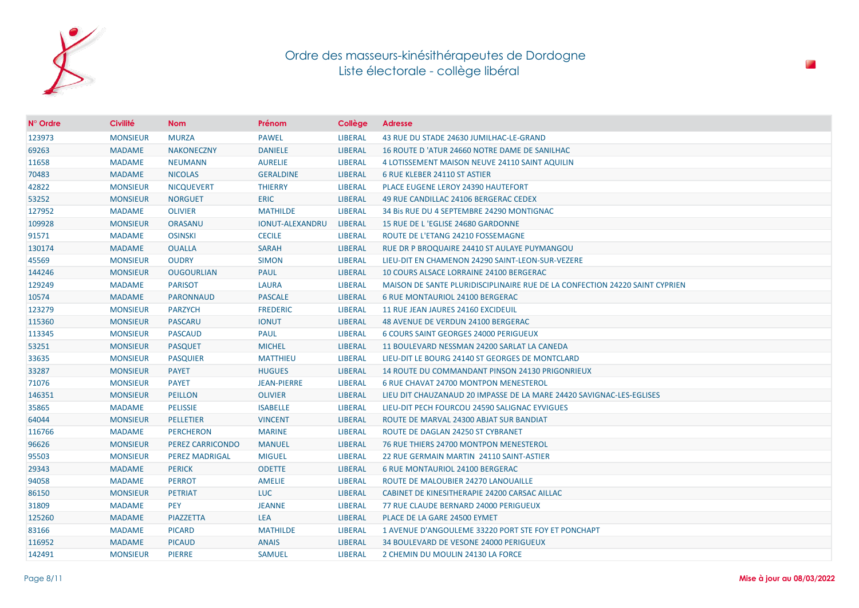

| $N^{\circ}$ Ordre | <b>Civilité</b> | <b>Nom</b>              | Prénom                 | Collège        | <b>Adresse</b>                                                              |
|-------------------|-----------------|-------------------------|------------------------|----------------|-----------------------------------------------------------------------------|
| 123973            | <b>MONSIEUR</b> | <b>MURZA</b>            | <b>PAWEL</b>           | <b>LIBERAL</b> | 43 RUE DU STADE 24630 JUMILHAC-LE-GRAND                                     |
| 69263             | <b>MADAME</b>   | <b>NAKONECZNY</b>       | <b>DANIELE</b>         | <b>LIBERAL</b> | 16 ROUTE D 'ATUR 24660 NOTRE DAME DE SANILHAC                               |
| 11658             | <b>MADAME</b>   | <b>NEUMANN</b>          | <b>AURELIE</b>         | <b>LIBERAL</b> | 4 LOTISSEMENT MAISON NEUVE 24110 SAINT AQUILIN                              |
| 70483             | <b>MADAME</b>   | <b>NICOLAS</b>          | <b>GERALDINE</b>       | <b>LIBERAL</b> | 6 RUE KLEBER 24110 ST ASTIER                                                |
| 42822             | <b>MONSIEUR</b> | <b>NICQUEVERT</b>       | <b>THIERRY</b>         | <b>LIBERAL</b> | <b>PLACE EUGENE LEROY 24390 HAUTEFORT</b>                                   |
| 53252             | <b>MONSIEUR</b> | <b>NORGUET</b>          | <b>ERIC</b>            | <b>LIBERAL</b> | 49 RUE CANDILLAC 24106 BERGERAC CEDEX                                       |
| 127952            | <b>MADAME</b>   | <b>OLIVIER</b>          | <b>MATHILDE</b>        | <b>LIBERAL</b> | 34 Bis RUE DU 4 SEPTEMBRE 24290 MONTIGNAC                                   |
| 109928            | <b>MONSIEUR</b> | ORASANU                 | <b>IONUT-ALEXANDRU</b> | <b>LIBERAL</b> | 15 RUE DE L'EGLISE 24680 GARDONNE                                           |
| 91571             | <b>MADAME</b>   | <b>OSINSKI</b>          | <b>CECILE</b>          | <b>LIBERAL</b> | ROUTE DE L'ETANG 24210 FOSSEMAGNE                                           |
| 130174            | <b>MADAME</b>   | <b>OUALLA</b>           | <b>SARAH</b>           | <b>LIBERAL</b> | RUE DR P BROQUAIRE 24410 ST AULAYE PUYMANGOU                                |
| 45569             | <b>MONSIEUR</b> | <b>OUDRY</b>            | <b>SIMON</b>           | <b>LIBERAL</b> | LIEU-DIT EN CHAMENON 24290 SAINT-LEON-SUR-VEZERE                            |
| 144246            | <b>MONSIEUR</b> | <b>OUGOURLIAN</b>       | <b>PAUL</b>            | <b>LIBERAL</b> | 10 COURS ALSACE LORRAINE 24100 BERGERAC                                     |
| 129249            | <b>MADAME</b>   | <b>PARISOT</b>          | <b>LAURA</b>           | <b>LIBERAL</b> | MAISON DE SANTE PLURIDISCIPLINAIRE RUE DE LA CONFECTION 24220 SAINT CYPRIEN |
| 10574             | <b>MADAME</b>   | <b>PARONNAUD</b>        | <b>PASCALE</b>         | <b>LIBERAL</b> | <b>6 RUE MONTAURIOL 24100 BERGERAC</b>                                      |
| 123279            | <b>MONSIEUR</b> | <b>PARZYCH</b>          | <b>FREDERIC</b>        | <b>LIBERAL</b> | 11 RUE JEAN JAURES 24160 EXCIDEUIL                                          |
| 115360            | <b>MONSIEUR</b> | <b>PASCARU</b>          | <b>IONUT</b>           | <b>LIBERAL</b> | 48 AVENUE DE VERDUN 24100 BERGERAC                                          |
| 113345            | <b>MONSIEUR</b> | <b>PASCAUD</b>          | <b>PAUL</b>            | <b>LIBERAL</b> | 6 COURS SAINT GEORGES 24000 PERIGUEUX                                       |
| 53251             | <b>MONSIEUR</b> | <b>PASQUET</b>          | <b>MICHEL</b>          | <b>LIBERAL</b> | 11 BOULEVARD NESSMAN 24200 SARLAT LA CANEDA                                 |
| 33635             | <b>MONSIEUR</b> | <b>PASQUIER</b>         | <b>MATTHIEU</b>        | <b>LIBERAL</b> | LIEU-DIT LE BOURG 24140 ST GEORGES DE MONTCLARD                             |
| 33287             | <b>MONSIEUR</b> | <b>PAYET</b>            | <b>HUGUES</b>          | <b>LIBERAL</b> | 14 ROUTE DU COMMANDANT PINSON 24130 PRIGONRIEUX                             |
| 71076             | <b>MONSIEUR</b> | <b>PAYET</b>            | <b>JEAN-PIERRE</b>     | <b>LIBERAL</b> | 6 RUE CHAVAT 24700 MONTPON MENESTEROL                                       |
| 146351            | <b>MONSIEUR</b> | <b>PEILLON</b>          | <b>OLIVIER</b>         | <b>LIBERAL</b> | LIEU DIT CHAUZANAUD 20 IMPASSE DE LA MARE 24420 SAVIGNAC-LES-EGLISES        |
| 35865             | <b>MADAME</b>   | <b>PELISSIE</b>         | <b>ISABELLE</b>        | LIBERAL        | LIEU-DIT PECH FOURCOU 24590 SALIGNAC EYVIGUES                               |
| 64044             | <b>MONSIEUR</b> | <b>PELLETIER</b>        | <b>VINCENT</b>         | <b>LIBERAL</b> | ROUTE DE MARVAL 24300 ABJAT SUR BANDIAT                                     |
| 116766            | <b>MADAME</b>   | <b>PERCHERON</b>        | <b>MARINE</b>          | <b>LIBERAL</b> | ROUTE DE DAGLAN 24250 ST CYBRANET                                           |
| 96626             | <b>MONSIEUR</b> | <b>PEREZ CARRICONDO</b> | <b>MANUEL</b>          | <b>LIBERAL</b> | 76 RUE THIERS 24700 MONTPON MENESTEROL                                      |
| 95503             | <b>MONSIEUR</b> | <b>PEREZ MADRIGAL</b>   | <b>MIGUEL</b>          | <b>LIBERAL</b> | 22 RUE GERMAIN MARTIN 24110 SAINT-ASTIER                                    |
| 29343             | <b>MADAME</b>   | <b>PERICK</b>           | <b>ODETTE</b>          | <b>LIBERAL</b> | <b>6 RUE MONTAURIOL 24100 BERGERAC</b>                                      |
| 94058             | <b>MADAME</b>   | <b>PERROT</b>           | <b>AMELIE</b>          | <b>LIBERAL</b> | ROUTE DE MALOUBIER 24270 LANOUAILLE                                         |
| 86150             | <b>MONSIEUR</b> | <b>PETRIAT</b>          | <b>LUC</b>             | <b>LIBERAL</b> | CABINET DE KINESITHERAPIE 24200 CARSAC AILLAC                               |
| 31809             | <b>MADAME</b>   | <b>PEY</b>              | <b>JEANNE</b>          | <b>LIBERAL</b> | 77 RUE CLAUDE BERNARD 24000 PERIGUEUX                                       |
| 125260            | <b>MADAME</b>   | PIAZZETTA               | <b>LEA</b>             | <b>LIBERAL</b> | PLACE DE LA GARE 24500 EYMET                                                |
| 83166             | <b>MADAME</b>   | <b>PICARD</b>           | <b>MATHILDE</b>        | <b>LIBERAL</b> | 1 AVENUE D'ANGOULEME 33220 PORT STE FOY ET PONCHAPT                         |
| 116952            | <b>MADAME</b>   | <b>PICAUD</b>           | <b>ANAIS</b>           | <b>LIBERAL</b> | 34 BOULEVARD DE VESONE 24000 PERIGUEUX                                      |
| 142491            | <b>MONSIEUR</b> | <b>PIERRE</b>           | <b>SAMUEL</b>          | <b>LIBERAL</b> | 2 CHEMIN DU MOULIN 24130 LA FORCE                                           |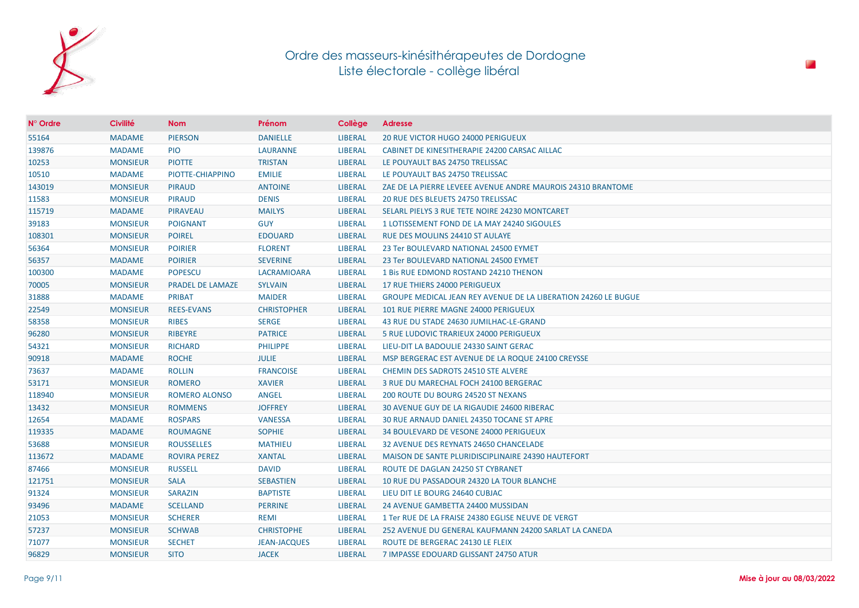

| $N^{\circ}$ Ordre | <b>Civilité</b> | <b>Nom</b>              | Prénom              | Collège        | <b>Adresse</b>                                                        |
|-------------------|-----------------|-------------------------|---------------------|----------------|-----------------------------------------------------------------------|
| 55164             | <b>MADAME</b>   | <b>PIERSON</b>          | <b>DANIELLE</b>     | <b>LIBERAL</b> | <b>20 RUE VICTOR HUGO 24000 PERIGUEUX</b>                             |
| 139876            | <b>MADAME</b>   | <b>PIO</b>              | <b>LAURANNE</b>     | <b>LIBERAL</b> | CABINET DE KINESITHERAPIE 24200 CARSAC AILLAC                         |
| 10253             | <b>MONSIEUR</b> | <b>PIOTTE</b>           | <b>TRISTAN</b>      | <b>LIBERAL</b> | LE POUYAULT BAS 24750 TRELISSAC                                       |
| 10510             | <b>MADAME</b>   | PIOTTE-CHIAPPINO        | <b>EMILIE</b>       | <b>LIBERAL</b> | LE POUYAULT BAS 24750 TRELISSAC                                       |
| 143019            | <b>MONSIEUR</b> | <b>PIRAUD</b>           | <b>ANTOINE</b>      | <b>LIBERAL</b> | ZAE DE LA PIERRE LEVEEE AVENUE ANDRE MAUROIS 24310 BRANTOME           |
| 11583             | <b>MONSIEUR</b> | <b>PIRAUD</b>           | <b>DENIS</b>        | <b>LIBERAL</b> | 20 RUE DES BLEUETS 24750 TRELISSAC                                    |
| 115719            | <b>MADAME</b>   | <b>PIRAVEAU</b>         | <b>MAILYS</b>       | <b>LIBERAL</b> | SELARL PIELYS 3 RUE TETE NOIRE 24230 MONTCARET                        |
| 39183             | <b>MONSIEUR</b> | <b>POIGNANT</b>         | <b>GUY</b>          | <b>LIBERAL</b> | 1 LOTISSEMENT FOND DE LA MAY 24240 SIGOULES                           |
| 108301            | <b>MONSIEUR</b> | <b>POIREL</b>           | <b>EDOUARD</b>      | <b>LIBERAL</b> | RUE DES MOULINS 24410 ST AULAYE                                       |
| 56364             | <b>MONSIEUR</b> | <b>POIRIER</b>          | <b>FLORENT</b>      | <b>LIBERAL</b> | 23 Ter BOULEVARD NATIONAL 24500 EYMET                                 |
| 56357             | <b>MADAME</b>   | <b>POIRIER</b>          | <b>SEVERINE</b>     | <b>LIBERAL</b> | 23 Ter BOULEVARD NATIONAL 24500 EYMET                                 |
| 100300            | <b>MADAME</b>   | <b>POPESCU</b>          | <b>LACRAMIOARA</b>  | <b>LIBERAL</b> | 1 Bis RUE EDMOND ROSTAND 24210 THENON                                 |
| 70005             | <b>MONSIEUR</b> | <b>PRADEL DE LAMAZE</b> | <b>SYLVAIN</b>      | <b>LIBERAL</b> | 17 RUE THIERS 24000 PERIGUEUX                                         |
| 31888             | <b>MADAME</b>   | <b>PRIBAT</b>           | <b>MAIDER</b>       | <b>LIBERAL</b> | <b>GROUPE MEDICAL JEAN REY AVENUE DE LA LIBERATION 24260 LE BUGUE</b> |
| 22549             | <b>MONSIEUR</b> | <b>REES-EVANS</b>       | <b>CHRISTOPHER</b>  | <b>LIBERAL</b> | 101 RUE PIERRE MAGNE 24000 PERIGUEUX                                  |
| 58358             | <b>MONSIEUR</b> | <b>RIBES</b>            | <b>SERGE</b>        | <b>LIBERAL</b> | 43 RUE DU STADE 24630 JUMILHAC-LE-GRAND                               |
| 96280             | <b>MONSIEUR</b> | <b>RIBEYRE</b>          | <b>PATRICE</b>      | <b>LIBERAL</b> | 5 RUE LUDOVIC TRARIEUX 24000 PERIGUEUX                                |
| 54321             | <b>MONSIEUR</b> | <b>RICHARD</b>          | <b>PHILIPPE</b>     | <b>LIBERAL</b> | LIEU-DIT LA BADOULIE 24330 SAINT GERAC                                |
| 90918             | <b>MADAME</b>   | <b>ROCHE</b>            | JULIE               | <b>LIBERAL</b> | MSP BERGERAC EST AVENUE DE LA ROQUE 24100 CREYSSE                     |
| 73637             | <b>MADAME</b>   | <b>ROLLIN</b>           | <b>FRANCOISE</b>    | <b>LIBERAL</b> | <b>CHEMIN DES SADROTS 24510 STE ALVERE</b>                            |
| 53171             | <b>MONSIEUR</b> | <b>ROMERO</b>           | <b>XAVIER</b>       | <b>LIBERAL</b> | 3 RUE DU MARECHAL FOCH 24100 BERGERAC                                 |
| 118940            | <b>MONSIEUR</b> | ROMERO ALONSO           | ANGEL               | <b>LIBERAL</b> | 200 ROUTE DU BOURG 24520 ST NEXANS                                    |
| 13432             | <b>MONSIEUR</b> | <b>ROMMENS</b>          | <b>JOFFREY</b>      | <b>LIBERAL</b> | 30 AVENUE GUY DE LA RIGAUDIE 24600 RIBERAC                            |
| 12654             | <b>MADAME</b>   | <b>ROSPARS</b>          | <b>VANESSA</b>      | <b>LIBERAL</b> | 30 RUE ARNAUD DANIEL 24350 TOCANE ST APRE                             |
| 119335            | <b>MADAME</b>   | <b>ROUMAGNE</b>         | <b>SOPHIE</b>       | <b>LIBERAL</b> | 34 BOULEVARD DE VESONE 24000 PERIGUEUX                                |
| 53688             | <b>MONSIEUR</b> | <b>ROUSSELLES</b>       | <b>MATHIEU</b>      | <b>LIBERAL</b> | 32 AVENUE DES REYNATS 24650 CHANCELADE                                |
| 113672            | <b>MADAME</b>   | <b>ROVIRA PEREZ</b>     | <b>XANTAL</b>       | <b>LIBERAL</b> | MAISON DE SANTE PLURIDISCIPLINAIRE 24390 HAUTEFORT                    |
| 87466             | <b>MONSIEUR</b> | <b>RUSSELL</b>          | <b>DAVID</b>        | <b>LIBERAL</b> | ROUTE DE DAGLAN 24250 ST CYBRANET                                     |
| 121751            | <b>MONSIEUR</b> | <b>SALA</b>             | <b>SEBASTIEN</b>    | <b>LIBERAL</b> | 10 RUE DU PASSADOUR 24320 LA TOUR BLANCHE                             |
| 91324             | <b>MONSIEUR</b> | <b>SARAZIN</b>          | <b>BAPTISTE</b>     | <b>LIBERAL</b> | LIEU DIT LE BOURG 24640 CUBJAC                                        |
| 93496             | <b>MADAME</b>   | <b>SCELLAND</b>         | <b>PERRINE</b>      | <b>LIBERAL</b> | 24 AVENUE GAMBETTA 24400 MUSSIDAN                                     |
| 21053             | <b>MONSIEUR</b> | <b>SCHERER</b>          | <b>REMI</b>         | <b>LIBERAL</b> | 1 Ter RUE DE LA FRAISE 24380 EGLISE NEUVE DE VERGT                    |
| 57237             | <b>MONSIEUR</b> | <b>SCHWAB</b>           | <b>CHRISTOPHE</b>   | <b>LIBERAL</b> | 252 AVENUE DU GENERAL KAUFMANN 24200 SARLAT LA CANEDA                 |
| 71077             | <b>MONSIEUR</b> | <b>SECHET</b>           | <b>JEAN-JACQUES</b> | <b>LIBERAL</b> | ROUTE DE BERGERAC 24130 LE FLEIX                                      |
| 96829             | <b>MONSIEUR</b> | <b>SITO</b>             | <b>JACEK</b>        | <b>LIBERAL</b> | 7 IMPASSE EDOUARD GLISSANT 24750 ATUR                                 |

P.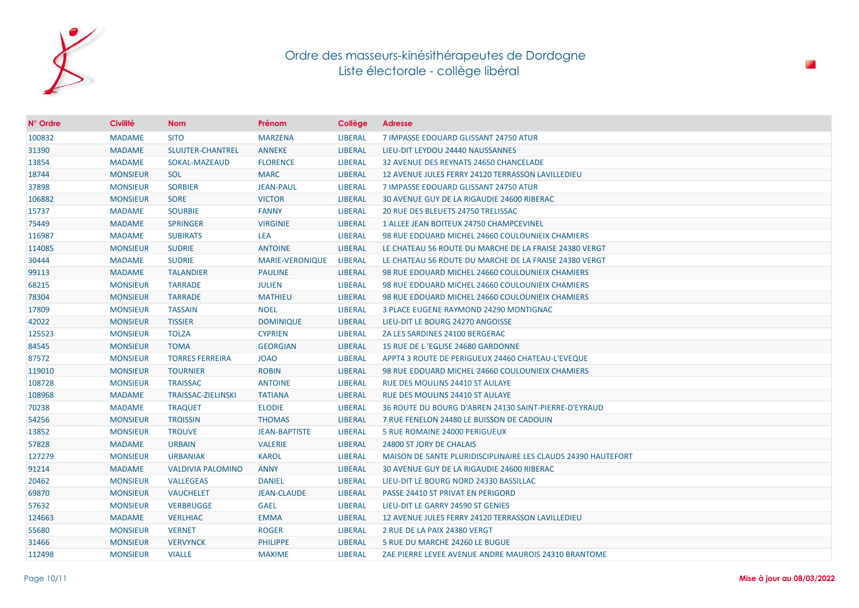

| $N^{\circ}$ Ordre | <b>Civilité</b> | <b>Nom</b>               | Prénom               | Collège        | <b>Adresse</b>                                                |
|-------------------|-----------------|--------------------------|----------------------|----------------|---------------------------------------------------------------|
| 100832            | <b>MADAME</b>   | <b>SITO</b>              | <b>MARZENA</b>       | <b>LIBERAL</b> | 7 IMPASSE EDOUARD GLISSANT 24750 ATUR                         |
| 31390             | <b>MADAME</b>   | SLUIJTER-CHANTREL        | <b>ANNEKE</b>        | <b>LIBERAL</b> | LIEU-DIT LEYDOU 24440 NAUSSANNES                              |
| 13854             | <b>MADAME</b>   | SOKAL-MAZEAUD            | <b>FLORENCE</b>      | <b>LIBERAL</b> | 32 AVENUE DES REYNATS 24650 CHANCELADE                        |
| 18744             | <b>MONSIEUR</b> | <b>SOL</b>               | <b>MARC</b>          | <b>LIBERAL</b> | 12 AVENUE JULES FERRY 24120 TERRASSON LAVILLEDIEU             |
| 37898             | <b>MONSIEUR</b> | <b>SORBIER</b>           | <b>JEAN-PAUL</b>     | <b>LIBERAL</b> | 7 IMPASSE EDOUARD GLISSANT 24750 ATUR                         |
| 106882            | <b>MONSIEUR</b> | <b>SORE</b>              | <b>VICTOR</b>        | <b>LIBERAL</b> | 30 AVENUE GUY DE LA RIGAUDIE 24600 RIBERAC                    |
| 15737             | <b>MADAME</b>   | <b>SOURBIE</b>           | <b>FANNY</b>         | <b>LIBERAL</b> | 20 RUE DES BLEUETS 24750 TRELISSAC                            |
| 75449             | <b>MADAME</b>   | <b>SPRINGER</b>          | <b>VIRGINIE</b>      | <b>LIBERAL</b> | 1 ALLEE JEAN BOITEUX 24750 CHAMPCEVINEL                       |
| 116987            | <b>MADAME</b>   | <b>SUBIRATS</b>          | <b>LEA</b>           | <b>LIBERAL</b> | 98 RUE EDOUARD MICHEL 24660 COULOUNIEIX CHAMIERS              |
| 114085            | <b>MONSIEUR</b> | <b>SUDRIE</b>            | <b>ANTOINE</b>       | <b>LIBERAL</b> | LE CHATEAU 56 ROUTE DU MARCHE DE LA FRAISE 24380 VERGT        |
| 30444             | <b>MADAME</b>   | <b>SUDRIE</b>            | MARIE-VERONIQUE      | <b>LIBERAL</b> | LE CHATEAU 56 ROUTE DU MARCHE DE LA FRAISE 24380 VERGT        |
| 99113             | <b>MADAME</b>   | <b>TALANDIER</b>         | <b>PAULINE</b>       | <b>LIBERAL</b> | 98 RUE EDOUARD MICHEL 24660 COULOUNIEIX CHAMIERS              |
| 68215             | <b>MONSIEUR</b> | <b>TARRADE</b>           | <b>JULIEN</b>        | <b>LIBERAL</b> | 98 RUE EDOUARD MICHEL 24660 COULOUNIEIX CHAMIERS              |
| 78304             | <b>MONSIEUR</b> | <b>TARRADE</b>           | <b>MATHIEU</b>       | <b>LIBERAL</b> | 98 RUE EDOUARD MICHEL 24660 COULOUNIEIX CHAMIERS              |
| 17809             | <b>MONSIEUR</b> | <b>TASSAIN</b>           | <b>NOEL</b>          | <b>LIBERAL</b> | 3 PLACE EUGENE RAYMOND 24290 MONTIGNAC                        |
| 42022             | <b>MONSIEUR</b> | <b>TISSIER</b>           | <b>DOMINIQUE</b>     | <b>LIBERAL</b> | LIEU-DIT LE BOURG 24270 ANGOISSE                              |
| 125523            | <b>MONSIEUR</b> | <b>TOLZA</b>             | <b>CYPRIEN</b>       | <b>LIBERAL</b> | ZA LES SARDINES 24100 BERGERAC                                |
| 84545             | <b>MONSIEUR</b> | <b>TOMA</b>              | <b>GEORGIAN</b>      | <b>LIBERAL</b> | 15 RUE DE L'EGLISE 24680 GARDONNE                             |
| 87572             | <b>MONSIEUR</b> | <b>TORRES FERREIRA</b>   | <b>JOAO</b>          | <b>LIBERAL</b> | APPT4 3 ROUTE DE PERIGUEUX 24460 CHATEAU-L'EVEQUE             |
| 119010            | <b>MONSIEUR</b> | <b>TOURNIER</b>          | <b>ROBIN</b>         | <b>LIBERAL</b> | 98 RUE EDOUARD MICHEL 24660 COULOUNIEIX CHAMIERS              |
| 108728            | <b>MONSIEUR</b> | <b>TRAISSAC</b>          | <b>ANTOINE</b>       | <b>LIBERAL</b> | RUE DES MOULINS 24410 ST AULAYE                               |
| 108968            | <b>MADAME</b>   | TRAISSAC-ZIELINSKI       | <b>TATIANA</b>       | <b>LIBERAL</b> | RUE DES MOULINS 24410 ST AULAYE                               |
| 70238             | <b>MADAME</b>   | <b>TRAQUET</b>           | <b>ELODIE</b>        | <b>LIBERAL</b> | 36 ROUTE DU BOURG D'ABREN 24130 SAINT-PIERRE-D'EYRAUD         |
| 54256             | <b>MONSIEUR</b> | <b>TROISSIN</b>          | <b>THOMAS</b>        | <b>LIBERAL</b> | 7 RUE FENELON 24480 LE BUISSON DE CADOUIN                     |
| 13852             | <b>MONSIEUR</b> | <b>TROUVE</b>            | <b>JEAN-BAPTISTE</b> | <b>LIBERAL</b> | 5 RUE ROMAINE 24000 PERIGUEUX                                 |
| 57828             | <b>MADAME</b>   | <b>URBAIN</b>            | <b>VALERIE</b>       | <b>LIBERAL</b> | 24800 ST JORY DE CHALAIS                                      |
| 127279            | <b>MONSIEUR</b> | <b>URBANIAK</b>          | <b>KAROL</b>         | <b>LIBERAL</b> | MAISON DE SANTE PLURIDISCIPLINAIRE LES CLAUDS 24390 HAUTEFORT |
| 91214             | <b>MADAME</b>   | <b>VALDIVIA PALOMINO</b> | <b>ANNY</b>          | <b>LIBERAL</b> | 30 AVENUE GUY DE LA RIGAUDIE 24600 RIBERAC                    |
| 20462             | <b>MONSIEUR</b> | <b>VALLEGEAS</b>         | <b>DANIEL</b>        | <b>LIBERAL</b> | LIEU-DIT LE BOURG NORD 24330 BASSILLAC                        |
| 69870             | <b>MONSIEUR</b> | <b>VAUCHELET</b>         | <b>JEAN-CLAUDE</b>   | <b>LIBERAL</b> | PASSE 24410 ST PRIVAT EN PERIGORD                             |
| 57632             | <b>MONSIEUR</b> | <b>VERBRUGGE</b>         | <b>GAEL</b>          | <b>LIBERAL</b> | LIEU-DIT LE GARRY 24590 ST GENIES                             |
| 124663            | <b>MADAME</b>   | <b>VERLHIAC</b>          | <b>EMMA</b>          | <b>LIBERAL</b> | 12 AVENUE JULES FERRY 24120 TERRASSON LAVILLEDIEU             |
| 55680             | <b>MONSIEUR</b> | <b>VERNET</b>            | <b>ROGER</b>         | <b>LIBERAL</b> | 2 RUE DE LA PAIX 24380 VERGT                                  |
| 31466             | <b>MONSIEUR</b> | <b>VERVYNCK</b>          | <b>PHILIPPE</b>      | <b>LIBERAL</b> | 5 RUE DU MARCHE 24260 LE BUGUE                                |
| 112498            | <b>MONSIEUR</b> | <b>VIALLE</b>            | <b>MAXIME</b>        | <b>LIBERAL</b> | ZAE PIERRE LEVEE AVENUE ANDRE MAUROIS 24310 BRANTOME          |